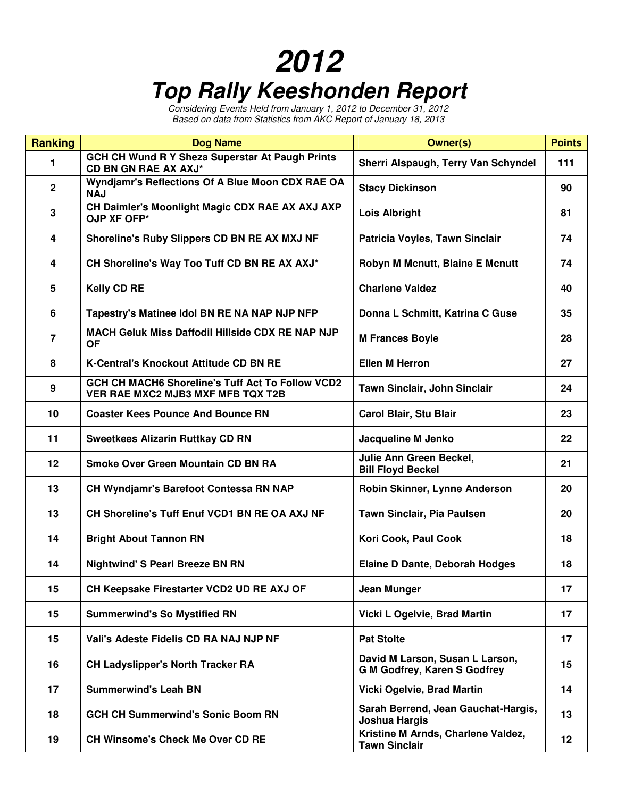## **2012 Top Rally Keeshonden Report**

Considering Events Held from January 1, 2012 to December 31, 2012 Based on data from Statistics from AKC Report of January 18, 2013

| <b>Ranking</b>  | <b>Dog Name</b>                                                                       | <b>Owner(s)</b>                                                        | <b>Points</b> |
|-----------------|---------------------------------------------------------------------------------------|------------------------------------------------------------------------|---------------|
| 1               | GCH CH Wund R Y Sheza Superstar At Paugh Prints<br>CD BN GN RAE AX AXJ*               | Sherri Alspaugh, Terry Van Schyndel                                    | 111           |
| $\mathbf{2}$    | Wyndjamr's Reflections Of A Blue Moon CDX RAE OA<br><b>NAJ</b>                        | <b>Stacy Dickinson</b>                                                 | 90            |
| 3               | CH Daimler's Moonlight Magic CDX RAE AX AXJ AXP<br>OJP XF OFP*                        | <b>Lois Albright</b>                                                   | 81            |
| 4               | Shoreline's Ruby Slippers CD BN RE AX MXJ NF                                          | Patricia Voyles, Tawn Sinclair                                         | 74            |
| 4               | CH Shoreline's Way Too Tuff CD BN RE AX AXJ*                                          | Robyn M Mcnutt, Blaine E Mcnutt                                        | 74            |
| $5\phantom{.0}$ | <b>Kelly CD RE</b>                                                                    | <b>Charlene Valdez</b>                                                 | 40            |
| 6               | Tapestry's Matinee Idol BN RE NA NAP NJP NFP                                          | Donna L Schmitt, Katrina C Guse                                        | 35            |
| $\overline{7}$  | MACH Geluk Miss Daffodil Hillside CDX RE NAP NJP<br><b>OF</b>                         | <b>M Frances Boyle</b>                                                 | 28            |
| 8               | <b>K-Central's Knockout Attitude CD BN RE</b>                                         | <b>Ellen M Herron</b>                                                  | 27            |
| 9               | GCH CH MACH6 Shoreline's Tuff Act To Follow VCD2<br>VER RAE MXC2 MJB3 MXF MFB TQX T2B | Tawn Sinclair, John Sinclair                                           | 24            |
| 10              | <b>Coaster Kees Pounce And Bounce RN</b>                                              | Carol Blair, Stu Blair                                                 | 23            |
| 11              | <b>Sweetkees Alizarin Ruttkay CD RN</b>                                               | Jacqueline M Jenko                                                     | 22            |
| 12              | Smoke Over Green Mountain CD BN RA                                                    | Julie Ann Green Beckel,<br><b>Bill Floyd Beckel</b>                    | 21            |
| 13              | CH Wyndjamr's Barefoot Contessa RN NAP                                                | Robin Skinner, Lynne Anderson                                          | 20            |
| 13              | CH Shoreline's Tuff Enuf VCD1 BN RE OA AXJ NF                                         | Tawn Sinclair, Pia Paulsen                                             | 20            |
| 14              | <b>Bright About Tannon RN</b>                                                         | Kori Cook, Paul Cook                                                   | 18            |
| 14              | <b>Nightwind' S Pearl Breeze BN RN</b>                                                | <b>Elaine D Dante, Deborah Hodges</b>                                  | 18            |
| 15              | CH Keepsake Firestarter VCD2 UD RE AXJ OF                                             | Jean Munger                                                            | 17            |
| 15              | <b>Summerwind's So Mystified RN</b>                                                   | Vicki L Ogelvie, Brad Martin                                           | 17            |
| 15              | Vali's Adeste Fidelis CD RA NAJ NJP NF                                                | <b>Pat Stolte</b>                                                      | 17            |
| 16              | <b>CH Ladyslipper's North Tracker RA</b>                                              | David M Larson, Susan L Larson,<br><b>G M Godfrey, Karen S Godfrey</b> | 15            |
| 17              | <b>Summerwind's Leah BN</b>                                                           | Vicki Ogelvie, Brad Martin                                             | 14            |
| 18              | <b>GCH CH Summerwind's Sonic Boom RN</b>                                              | Sarah Berrend, Jean Gauchat-Hargis,<br>Joshua Hargis                   | 13            |
| 19              | <b>CH Winsome's Check Me Over CD RE</b>                                               | Kristine M Arnds, Charlene Valdez,<br><b>Tawn Sinclair</b>             | 12            |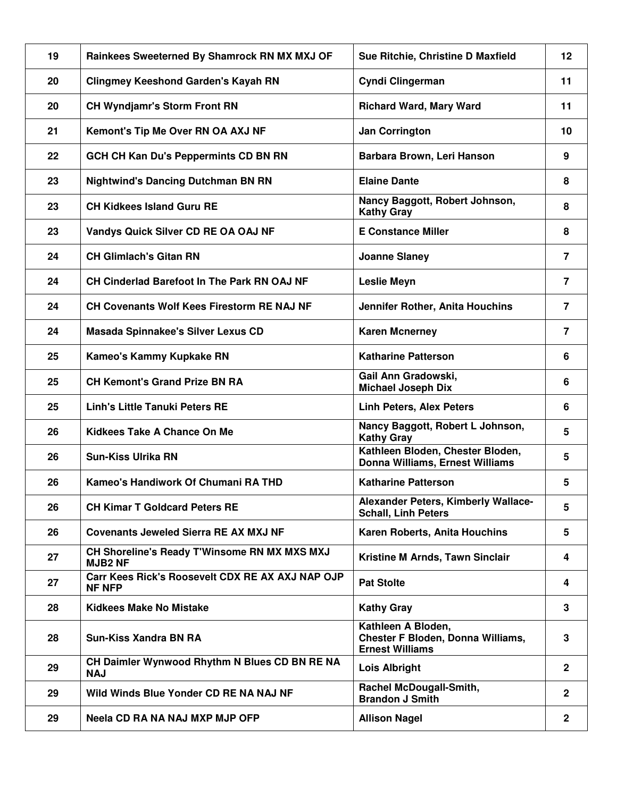| 19 | Rainkees Sweeterned By Shamrock RN MX MXJ OF                      | Sue Ritchie, Christine D Maxfield                                                        | 12             |
|----|-------------------------------------------------------------------|------------------------------------------------------------------------------------------|----------------|
| 20 | <b>Clingmey Keeshond Garden's Kayah RN</b>                        | Cyndi Clingerman                                                                         | 11             |
| 20 | <b>CH Wyndjamr's Storm Front RN</b>                               | <b>Richard Ward, Mary Ward</b>                                                           | 11             |
| 21 | Kemont's Tip Me Over RN OA AXJ NF                                 | <b>Jan Corrington</b>                                                                    | 10             |
| 22 | <b>GCH CH Kan Du's Peppermints CD BN RN</b>                       | Barbara Brown, Leri Hanson                                                               | 9              |
| 23 | <b>Nightwind's Dancing Dutchman BN RN</b>                         | <b>Elaine Dante</b>                                                                      | 8              |
| 23 | <b>CH Kidkees Island Guru RE</b>                                  | Nancy Baggott, Robert Johnson,<br><b>Kathy Gray</b>                                      | 8              |
| 23 | Vandys Quick Silver CD RE OA OAJ NF                               | <b>E Constance Miller</b>                                                                | 8              |
| 24 | <b>CH Glimlach's Gitan RN</b>                                     | <b>Joanne Slaney</b>                                                                     | $\overline{7}$ |
| 24 | <b>CH Cinderlad Barefoot In The Park RN OAJ NF</b>                | <b>Leslie Meyn</b>                                                                       | $\overline{7}$ |
| 24 | <b>CH Covenants Wolf Kees Firestorm RE NAJ NF</b>                 | Jennifer Rother, Anita Houchins                                                          | $\overline{7}$ |
| 24 | Masada Spinnakee's Silver Lexus CD                                | <b>Karen Mcnerney</b>                                                                    | $\overline{7}$ |
| 25 | Kameo's Kammy Kupkake RN                                          | <b>Katharine Patterson</b>                                                               | 6              |
| 25 | <b>CH Kemont's Grand Prize BN RA</b>                              | Gail Ann Gradowski,<br><b>Michael Joseph Dix</b>                                         | 6              |
| 25 | <b>Linh's Little Tanuki Peters RE</b>                             | <b>Linh Peters, Alex Peters</b>                                                          | 6              |
| 26 | Kidkees Take A Chance On Me                                       | Nancy Baggott, Robert L Johnson,<br><b>Kathy Gray</b>                                    | 5              |
| 26 | <b>Sun-Kiss Ulrika RN</b>                                         | Kathleen Bloden, Chester Bloden,<br>Donna Williams, Ernest Williams                      | 5              |
| 26 | Kameo's Handiwork Of Chumani RA THD                               | <b>Katharine Patterson</b>                                                               | 5              |
| 26 | <b>CH Kimar T Goldcard Peters RE</b>                              | Alexander Peters, Kimberly Wallace-<br><b>Schall, Linh Peters</b>                        | 5              |
| 26 | <b>Covenants Jeweled Sierra RE AX MXJ NF</b>                      | Karen Roberts, Anita Houchins                                                            | 5              |
| 27 | CH Shoreline's Ready T'Winsome RN MX MXS MXJ<br><b>MJB2 NF</b>    | Kristine M Arnds, Tawn Sinclair                                                          | 4              |
| 27 | Carr Kees Rick's Roosevelt CDX RE AX AXJ NAP OJP<br><b>NF NFP</b> | <b>Pat Stolte</b>                                                                        | 4              |
| 28 | <b>Kidkees Make No Mistake</b>                                    | <b>Kathy Gray</b>                                                                        | 3              |
| 28 | <b>Sun-Kiss Xandra BN RA</b>                                      | Kathleen A Bloden,<br><b>Chester F Bloden, Donna Williams,</b><br><b>Ernest Williams</b> | 3              |
| 29 | CH Daimler Wynwood Rhythm N Blues CD BN RE NA<br><b>NAJ</b>       | Lois Albright                                                                            | $\overline{2}$ |
| 29 | Wild Winds Blue Yonder CD RE NA NAJ NF                            | Rachel McDougall-Smith,<br><b>Brandon J Smith</b>                                        | $\mathbf{2}$   |
| 29 | Neela CD RA NA NAJ MXP MJP OFP                                    | <b>Allison Nagel</b>                                                                     | $\mathbf{2}$   |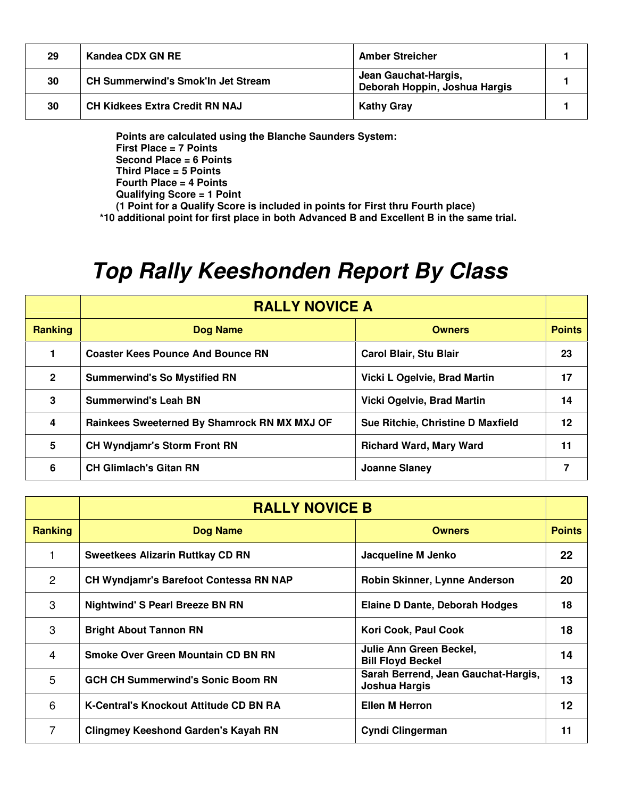| 29 | Kandea CDX GN RE                          | <b>Amber Streicher</b>                                |  |
|----|-------------------------------------------|-------------------------------------------------------|--|
| 30 | <b>CH Summerwind's Smok'ln Jet Stream</b> | Jean Gauchat-Hargis,<br>Deborah Hoppin, Joshua Hargis |  |
| 30 | <b>CH Kidkees Extra Credit RN NAJ</b>     | <b>Kathy Gray</b>                                     |  |

**Points are calculated using the Blanche Saunders System: First Place = 7 Points Second Place = 6 Points Third Place = 5 Points Fourth Place = 4 Points Qualifying Score = 1 Point** 

**(1 Point for a Qualify Score is included in points for First thru Fourth place)** 

**\*10 additional point for first place in both Advanced B and Excellent B in the same trial.** 

## **Top Rally Keeshonden Report By Class**

|                | <b>RALLY NOVICE A</b>                        |                                   |               |
|----------------|----------------------------------------------|-----------------------------------|---------------|
| Ranking        | Dog Name                                     | <b>Owners</b>                     | <b>Points</b> |
|                | <b>Coaster Kees Pounce And Bounce RN</b>     | <b>Carol Blair, Stu Blair</b>     | 23            |
| $\overline{2}$ | <b>Summerwind's So Mystified RN</b>          | Vicki L Ogelvie, Brad Martin      | 17            |
| 3              | <b>Summerwind's Leah BN</b>                  | <b>Vicki Ogelvie, Brad Martin</b> | 14            |
| 4              | Rainkees Sweeterned By Shamrock RN MX MXJ OF | Sue Ritchie, Christine D Maxfield | 12            |
| 5              | <b>CH Wyndjamr's Storm Front RN</b>          | <b>Richard Ward, Mary Ward</b>    | 11            |
| 6              | <b>CH Glimlach's Gitan RN</b>                | Joanne Slaney                     |               |

|                | <b>RALLY NOVICE B</b>                         |                                                      |               |
|----------------|-----------------------------------------------|------------------------------------------------------|---------------|
| <b>Ranking</b> | Dog Name                                      | <b>Owners</b>                                        | <b>Points</b> |
|                | <b>Sweetkees Alizarin Ruttkay CD RN</b>       | Jacqueline M Jenko                                   | 22            |
| $\overline{2}$ | <b>CH Wyndjamr's Barefoot Contessa RN NAP</b> | Robin Skinner, Lynne Anderson                        | 20            |
| 3              | <b>Nightwind' S Pearl Breeze BN RN</b>        | Elaine D Dante, Deborah Hodges                       | 18            |
| 3              | <b>Bright About Tannon RN</b>                 | Kori Cook, Paul Cook                                 | 18            |
| 4              | Smoke Over Green Mountain CD BN RN            | Julie Ann Green Beckel,<br><b>Bill Floyd Beckel</b>  | 14            |
| 5              | <b>GCH CH Summerwind's Sonic Boom RN</b>      | Sarah Berrend, Jean Gauchat-Hargis,<br>Joshua Hargis | 13            |
| 6              | <b>K-Central's Knockout Attitude CD BN RA</b> | <b>Ellen M Herron</b>                                | 12            |
| 7              | <b>Clingmey Keeshond Garden's Kayah RN</b>    | Cyndi Clingerman                                     | 11            |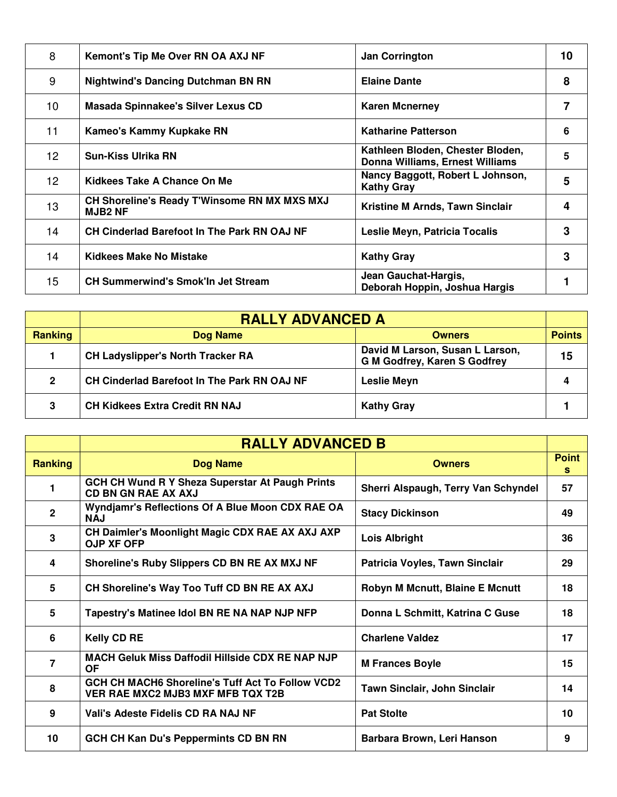| 8               | <b>Kemont's Tip Me Over RN OA AXJ NF</b>                       | <b>Jan Corrington</b>                                               | 10 |
|-----------------|----------------------------------------------------------------|---------------------------------------------------------------------|----|
| 9               | <b>Nightwind's Dancing Dutchman BN RN</b>                      | <b>Elaine Dante</b>                                                 | 8  |
| 10 <sup>1</sup> | Masada Spinnakee's Silver Lexus CD                             | <b>Karen Mcnerney</b>                                               | 7  |
| 11              | Kameo's Kammy Kupkake RN                                       | <b>Katharine Patterson</b>                                          | 6  |
| 12 <sup>2</sup> | <b>Sun-Kiss Ulrika RN</b>                                      | Kathleen Bloden, Chester Bloden,<br>Donna Williams, Ernest Williams | 5  |
| 12 <sup>°</sup> | Kidkees Take A Chance On Me                                    | Nancy Baggott, Robert L Johnson,<br><b>Kathy Gray</b>               | 5  |
| 13              | CH Shoreline's Ready T'Winsome RN MX MXS MXJ<br><b>MJB2 NF</b> | Kristine M Arnds, Tawn Sinclair                                     | 4  |
| 14              | <b>CH Cinderlad Barefoot In The Park RN OAJ NF</b>             | Leslie Meyn, Patricia Tocalis                                       | 3  |
| 14              | Kidkees Make No Mistake                                        | <b>Kathy Gray</b>                                                   | 3  |
| 15              | <b>CH Summerwind's Smok'ln Jet Stream</b>                      | Jean Gauchat-Hargis,<br>Deborah Hoppin, Joshua Hargis               |    |

|                | <b>RALLY ADVANCED A</b>                     |                                                                        |               |
|----------------|---------------------------------------------|------------------------------------------------------------------------|---------------|
| Ranking        | Dog Name                                    | <b>Owners</b>                                                          | <b>Points</b> |
|                | <b>CH Ladyslipper's North Tracker RA</b>    | David M Larson, Susan L Larson,<br><b>G M Godfrey, Karen S Godfrey</b> | 15            |
| $\overline{2}$ | CH Cinderlad Barefoot In The Park RN OAJ NF | <b>Leslie Meyn</b>                                                     | 4             |
| 3              | <b>CH Kidkees Extra Credit RN NAJ</b>       | <b>Kathy Gray</b>                                                      |               |

|                | <b>RALLY ADVANCED B</b>                                                               |                                        |                   |
|----------------|---------------------------------------------------------------------------------------|----------------------------------------|-------------------|
| <b>Ranking</b> | <b>Dog Name</b>                                                                       | <b>Owners</b>                          | <b>Point</b><br>s |
| 1              | <b>GCH CH Wund R Y Sheza Superstar At Paugh Prints</b><br>CD BN GN RAE AX AXJ         | Sherri Alspaugh, Terry Van Schyndel    | 57                |
| $\mathbf{2}$   | Wyndjamr's Reflections Of A Blue Moon CDX RAE OA<br><b>NAJ</b>                        | <b>Stacy Dickinson</b>                 | 49                |
| 3              | CH Daimler's Moonlight Magic CDX RAE AX AXJ AXP<br><b>OJP XF OFP</b>                  | <b>Lois Albright</b>                   | 36                |
| 4              | Shoreline's Ruby Slippers CD BN RE AX MXJ NF                                          | Patricia Voyles, Tawn Sinclair         | 29                |
| 5              | CH Shoreline's Way Too Tuff CD BN RE AX AXJ                                           | <b>Robyn M Mcnutt, Blaine E Mcnutt</b> | 18                |
| 5              | Tapestry's Matinee Idol BN RE NA NAP NJP NFP                                          | Donna L Schmitt, Katrina C Guse        | 18                |
| 6              | <b>Kelly CD RE</b>                                                                    | <b>Charlene Valdez</b>                 | 17                |
| $\overline{7}$ | <b>MACH Geluk Miss Daffodil Hillside CDX RE NAP NJP</b><br><b>OF</b>                  | <b>M Frances Boyle</b>                 | 15                |
| 8              | GCH CH MACH6 Shoreline's Tuff Act To Follow VCD2<br>VER RAE MXC2 MJB3 MXF MFB TQX T2B | <b>Tawn Sinclair, John Sinclair</b>    | 14                |
| 9              | Vali's Adeste Fidelis CD RA NAJ NF                                                    | <b>Pat Stolte</b>                      | 10                |
| 10             | <b>GCH CH Kan Du's Peppermints CD BN RN</b>                                           | Barbara Brown, Leri Hanson             | 9                 |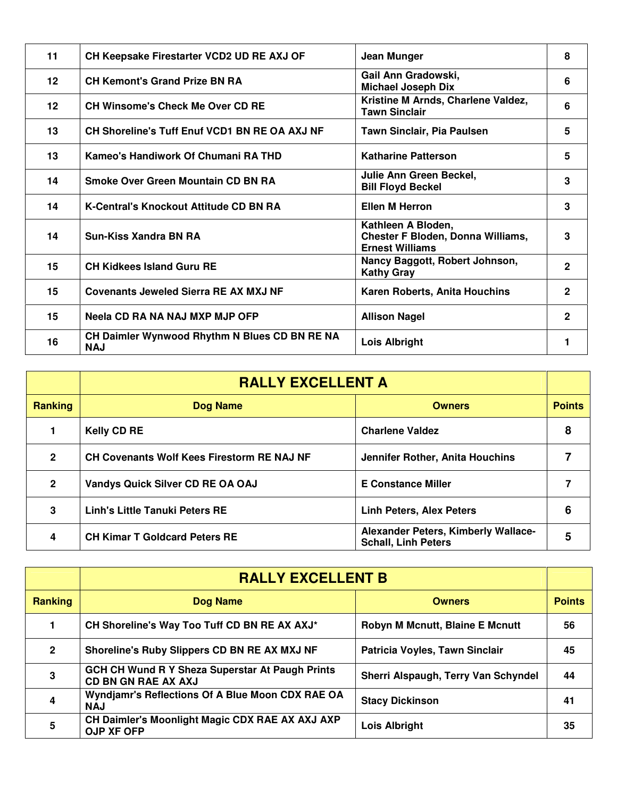| 11      | CH Keepsake Firestarter VCD2 UD RE AXJ OF                   | Jean Munger                                                                              | 8            |
|---------|-------------------------------------------------------------|------------------------------------------------------------------------------------------|--------------|
| $12 \,$ | <b>CH Kemont's Grand Prize BN RA</b>                        | Gail Ann Gradowski,<br><b>Michael Joseph Dix</b>                                         | 6            |
| $12 \,$ | <b>CH Winsome's Check Me Over CD RE</b>                     | Kristine M Arnds, Charlene Valdez,<br><b>Tawn Sinclair</b>                               | 6            |
| 13      | CH Shoreline's Tuff Enuf VCD1 BN RE OA AXJ NF               | <b>Tawn Sinclair, Pia Paulsen</b>                                                        | 5            |
| 13      | Kameo's Handiwork Of Chumani RA THD                         | <b>Katharine Patterson</b>                                                               | 5            |
| 14      | Smoke Over Green Mountain CD BN RA                          | Julie Ann Green Beckel,<br><b>Bill Floyd Beckel</b>                                      | 3            |
| 14      | K-Central's Knockout Attitude CD BN RA                      | <b>Ellen M Herron</b>                                                                    | 3            |
| 14      | <b>Sun-Kiss Xandra BN RA</b>                                | Kathleen A Bloden,<br><b>Chester F Bloden, Donna Williams,</b><br><b>Ernest Williams</b> | 3            |
| 15      | <b>CH Kidkees Island Guru RE</b>                            | Nancy Baggott, Robert Johnson,<br><b>Kathy Gray</b>                                      | $\mathbf{2}$ |
| 15      | <b>Covenants Jeweled Sierra RE AX MXJ NF</b>                | Karen Roberts, Anita Houchins                                                            | $\mathbf{2}$ |
| 15      | Neela CD RA NA NAJ MXP MJP OFP                              | <b>Allison Nagel</b>                                                                     | $\mathbf{2}$ |
| 16      | CH Daimler Wynwood Rhythm N Blues CD BN RE NA<br><b>NAJ</b> | Lois Albright                                                                            |              |

|                | <b>RALLY EXCELLENT A</b>                          |                                                                   |               |
|----------------|---------------------------------------------------|-------------------------------------------------------------------|---------------|
| <b>Ranking</b> | <b>Dog Name</b>                                   | <b>Owners</b>                                                     | <b>Points</b> |
|                | <b>Kelly CD RE</b>                                | <b>Charlene Valdez</b>                                            | 8             |
| $\mathbf{2}$   | <b>CH Covenants Wolf Kees Firestorm RE NAJ NF</b> | Jennifer Rother, Anita Houchins                                   |               |
| 2              | Vandys Quick Silver CD RE OA OAJ                  | <b>E Constance Miller</b>                                         |               |
| 3              | <b>Linh's Little Tanuki Peters RE</b>             | <b>Linh Peters, Alex Peters</b>                                   | 6             |
| 4              | <b>CH Kimar T Goldcard Peters RE</b>              | Alexander Peters, Kimberly Wallace-<br><b>Schall, Linh Peters</b> |               |

|                | <b>RALLY EXCELLENT B</b>                                                             |                                        |               |
|----------------|--------------------------------------------------------------------------------------|----------------------------------------|---------------|
| <b>Ranking</b> | Dog Name                                                                             | <b>Owners</b>                          | <b>Points</b> |
|                | CH Shoreline's Way Too Tuff CD BN RE AX AXJ*                                         | <b>Robyn M Mcnutt, Blaine E Mcnutt</b> | 56            |
| $\overline{2}$ | Shoreline's Ruby Slippers CD BN RE AX MXJ NF                                         | Patricia Voyles, Tawn Sinclair         | 45            |
| 3              | <b>GCH CH Wund R Y Sheza Superstar At Paugh Prints</b><br><b>CD BN GN RAE AX AXJ</b> | Sherri Alspaugh, Terry Van Schyndel    | 44            |
| 4              | Wyndjamr's Reflections Of A Blue Moon CDX RAE OA<br><b>NAJ</b>                       | <b>Stacy Dickinson</b>                 | 41            |
| 5              | CH Daimler's Moonlight Magic CDX RAE AX AXJ AXP<br><b>OJP XF OFP</b>                 | <b>Lois Albright</b>                   | 35            |